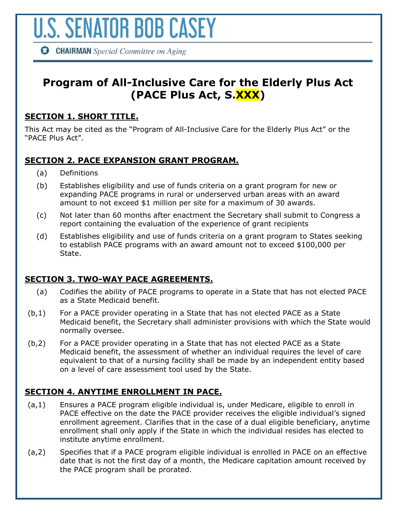

**CHAIRMAN** Special Committee on Aging

# **Program of All-Inclusive Care for the Elderly Plus Act (PACE Plus Act, S.XXX)**

## **SECTION 1. SHORT TITLE.**

This Act may be cited as the "Program of All-Inclusive Care for the Elderly Plus Act" or the "PACE Plus Act".

# **SECTION 2. PACE EXPANSION GRANT PROGRAM.**

- (a) Definitions
- (b) Establishes eligibility and use of funds criteria on a grant program for new or expanding PACE programs in rural or underserved urban areas with an award amount to not exceed \$1 million per site for a maximum of 30 awards.
- (c) Not later than 60 months after enactment the Secretary shall submit to Congress a report containing the evaluation of the experience of grant recipients
- (d) Establishes eligibility and use of funds criteria on a grant program to States seeking to establish PACE programs with an award amount not to exceed \$100,000 per State.

### **SECTION 3. TWO-WAY PACE AGREEMENTS.**

- (a) Codifies the ability of PACE programs to operate in a State that has not elected PACE as a State Medicaid benefit.
- (b,1) For a PACE provider operating in a State that has not elected PACE as a State Medicaid benefit, the Secretary shall administer provisions with which the State would normally oversee.
- (b,2) For a PACE provider operating in a State that has not elected PACE as a State Medicaid benefit, the assessment of whether an individual requires the level of care equivalent to that of a nursing facility shall be made by an independent entity based on a level of care assessment tool used by the State.

## **SECTION 4. ANYTIME ENROLLMENT IN PACE.**

- (a,1) Ensures a PACE program eligible individual is, under Medicare, eligible to enroll in PACE effective on the date the PACE provider receives the eligible individual's signed enrollment agreement. Clarifies that in the case of a dual eligible beneficiary, anytime enrollment shall only apply if the State in which the individual resides has elected to institute anytime enrollment.
- (a,2) Specifies that if a PACE program eligible individual is enrolled in PACE on an effective date that is not the first day of a month, the Medicare capitation amount received by the PACE program shall be prorated.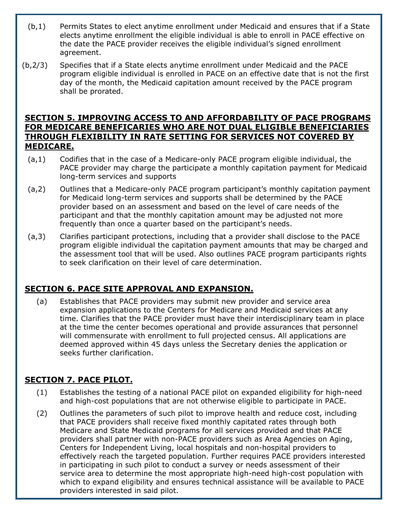- (b,1) Permits States to elect anytime enrollment under Medicaid and ensures that if a State elects anytime enrollment the eligible individual is able to enroll in PACE effective on the date the PACE provider receives the eligible individual's signed enrollment agreement.
- (b,2/3) Specifies that if a State elects anytime enrollment under Medicaid and the PACE program eligible individual is enrolled in PACE on an effective date that is not the first day of the month, the Medicaid capitation amount received by the PACE program shall be prorated.

#### **SECTION 5. IMPROVING ACCESS TO AND AFFORDABILITY OF PACE PROGRAMS FOR MEDICARE BENEFICARIES WHO ARE NOT DUAL ELIGIBLE BENEFICIARIES THROUGH FLEXIBILITY IN RATE SETTING FOR SERVICES NOT COVERED BY MEDICARE.**

- (a,1) Codifies that in the case of a Medicare-only PACE program eligible individual, the PACE provider may charge the participate a monthly capitation payment for Medicaid long-term services and supports
- (a,2) Outlines that a Medicare-only PACE program participant's monthly capitation payment for Medicaid long-term services and supports shall be determined by the PACE provider based on an assessment and based on the level of care needs of the participant and that the monthly capitation amount may be adjusted not more frequently than once a quarter based on the participant's needs.
- (a,3) Clarifies participant protections, including that a provider shall disclose to the PACE program eligible individual the capitation payment amounts that may be charged and the assessment tool that will be used. Also outlines PACE program participants rights to seek clarification on their level of care determination.

# **SECTION 6. PACE SITE APPROVAL AND EXPANSION.**

(a) Establishes that PACE providers may submit new provider and service area expansion applications to the Centers for Medicare and Medicaid services at any time. Clarifies that the PACE provider must have their interdisciplinary team in place at the time the center becomes operational and provide assurances that personnel will commensurate with enrollment to full projected census. All applications are deemed approved within 45 days unless the Secretary denies the application or seeks further clarification.

# **SECTION 7. PACE PILOT.**

- (1) Establishes the testing of a national PACE pilot on expanded eligibility for high-need and high-cost populations that are not otherwise eligible to participate in PACE.
- (2) Outlines the parameters of such pilot to improve health and reduce cost, including that PACE providers shall receive fixed monthly capitated rates through both Medicare and State Medicaid programs for all services provided and that PACE providers shall partner with non-PACE providers such as Area Agencies on Aging, Centers for Independent Living, local hospitals and non-hospital providers to effectively reach the targeted population. Further requires PACE providers interested in participating in such pilot to conduct a survey or needs assessment of their service area to determine the most appropriate high-need high-cost population with which to expand eligibility and ensures technical assistance will be available to PACE providers interested in said pilot.